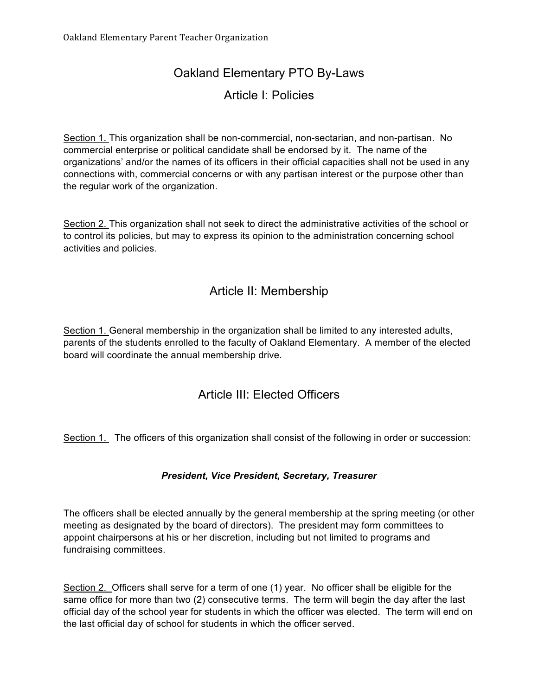# Oakland Elementary PTO By-Laws

### Article I: Policies

Section 1. This organization shall be non-commercial, non-sectarian, and non-partisan. No commercial enterprise or political candidate shall be endorsed by it. The name of the organizations' and/or the names of its officers in their official capacities shall not be used in any connections with, commercial concerns or with any partisan interest or the purpose other than the regular work of the organization.

Section 2. This organization shall not seek to direct the administrative activities of the school or to control its policies, but may to express its opinion to the administration concerning school activities and policies.

### Article II: Membership

Section 1. General membership in the organization shall be limited to any interested adults, parents of the students enrolled to the faculty of Oakland Elementary. A member of the elected board will coordinate the annual membership drive.

### Article III: Elected Officers

Section 1. The officers of this organization shall consist of the following in order or succession:

#### *President, Vice President, Secretary, Treasurer*

The officers shall be elected annually by the general membership at the spring meeting (or other meeting as designated by the board of directors). The president may form committees to appoint chairpersons at his or her discretion, including but not limited to programs and fundraising committees.

Section 2. Officers shall serve for a term of one (1) year. No officer shall be eligible for the same office for more than two (2) consecutive terms. The term will begin the day after the last official day of the school year for students in which the officer was elected. The term will end on the last official day of school for students in which the officer served.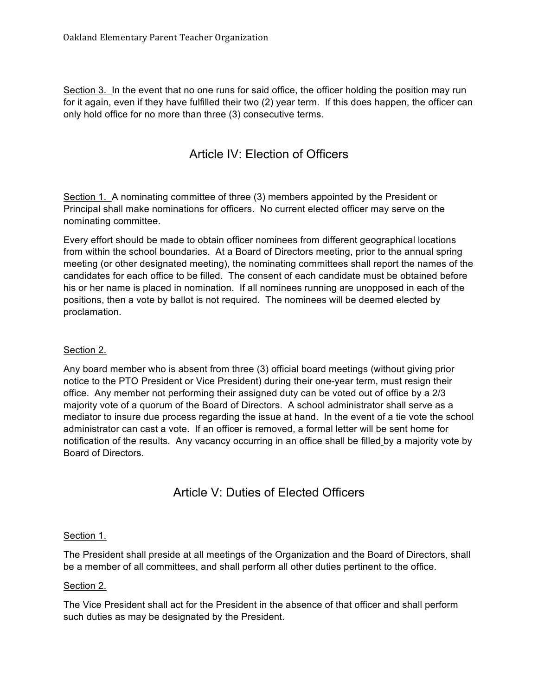Section 3. In the event that no one runs for said office, the officer holding the position may run for it again, even if they have fulfilled their two (2) year term. If this does happen, the officer can only hold office for no more than three (3) consecutive terms.

## Article IV: Election of Officers

Section 1. A nominating committee of three (3) members appointed by the President or Principal shall make nominations for officers. No current elected officer may serve on the nominating committee.

Every effort should be made to obtain officer nominees from different geographical locations from within the school boundaries. At a Board of Directors meeting, prior to the annual spring meeting (or other designated meeting), the nominating committees shall report the names of the candidates for each office to be filled. The consent of each candidate must be obtained before his or her name is placed in nomination. If all nominees running are unopposed in each of the positions, then a vote by ballot is not required. The nominees will be deemed elected by proclamation.

#### Section 2.

Any board member who is absent from three (3) official board meetings (without giving prior notice to the PTO President or Vice President) during their one-year term, must resign their office. Any member not performing their assigned duty can be voted out of office by a 2/3 majority vote of a quorum of the Board of Directors. A school administrator shall serve as a mediator to insure due process regarding the issue at hand. In the event of a tie vote the school administrator can cast a vote. If an officer is removed, a formal letter will be sent home for notification of the results. Any vacancy occurring in an office shall be filled by a majority vote by Board of Directors.

### Article V: Duties of Elected Officers

#### Section 1.

The President shall preside at all meetings of the Organization and the Board of Directors, shall be a member of all committees, and shall perform all other duties pertinent to the office.

#### Section 2.

The Vice President shall act for the President in the absence of that officer and shall perform such duties as may be designated by the President.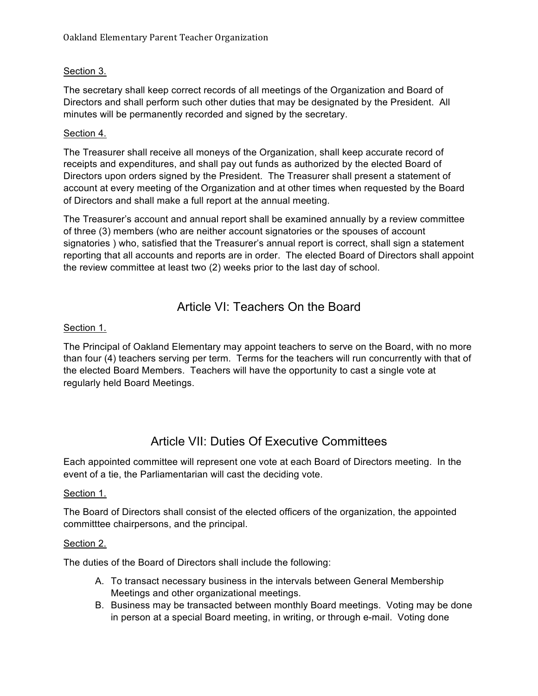### Section 3.

The secretary shall keep correct records of all meetings of the Organization and Board of Directors and shall perform such other duties that may be designated by the President. All minutes will be permanently recorded and signed by the secretary.

#### Section 4.

The Treasurer shall receive all moneys of the Organization, shall keep accurate record of receipts and expenditures, and shall pay out funds as authorized by the elected Board of Directors upon orders signed by the President. The Treasurer shall present a statement of account at every meeting of the Organization and at other times when requested by the Board of Directors and shall make a full report at the annual meeting.

The Treasurer's account and annual report shall be examined annually by a review committee of three (3) members (who are neither account signatories or the spouses of account signatories ) who, satisfied that the Treasurer's annual report is correct, shall sign a statement reporting that all accounts and reports are in order. The elected Board of Directors shall appoint the review committee at least two (2) weeks prior to the last day of school.

### Article VI: Teachers On the Board

#### Section 1.

The Principal of Oakland Elementary may appoint teachers to serve on the Board, with no more than four (4) teachers serving per term. Terms for the teachers will run concurrently with that of the elected Board Members. Teachers will have the opportunity to cast a single vote at regularly held Board Meetings.

### Article VII: Duties Of Executive Committees

Each appointed committee will represent one vote at each Board of Directors meeting. In the event of a tie, the Parliamentarian will cast the deciding vote.

#### Section 1.

The Board of Directors shall consist of the elected officers of the organization, the appointed committtee chairpersons, and the principal.

#### Section 2.

The duties of the Board of Directors shall include the following:

- A. To transact necessary business in the intervals between General Membership Meetings and other organizational meetings.
- B. Business may be transacted between monthly Board meetings. Voting may be done in person at a special Board meeting, in writing, or through e-mail. Voting done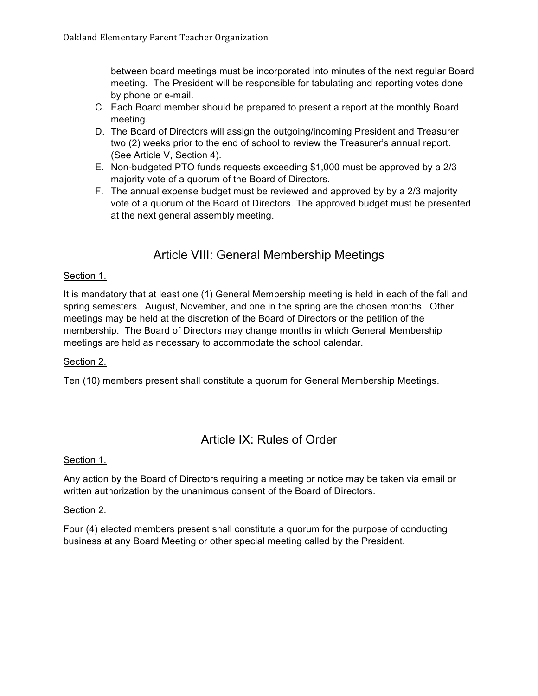between board meetings must be incorporated into minutes of the next regular Board meeting. The President will be responsible for tabulating and reporting votes done by phone or e-mail.

- C. Each Board member should be prepared to present a report at the monthly Board meeting.
- D. The Board of Directors will assign the outgoing/incoming President and Treasurer two (2) weeks prior to the end of school to review the Treasurer's annual report. (See Article V, Section 4).
- E. Non-budgeted PTO funds requests exceeding \$1,000 must be approved by a 2/3 majority vote of a quorum of the Board of Directors.
- F. The annual expense budget must be reviewed and approved by by a 2/3 majority vote of a quorum of the Board of Directors. The approved budget must be presented at the next general assembly meeting.

## Article VIII: General Membership Meetings

#### Section 1.

It is mandatory that at least one (1) General Membership meeting is held in each of the fall and spring semesters. August, November, and one in the spring are the chosen months. Other meetings may be held at the discretion of the Board of Directors or the petition of the membership. The Board of Directors may change months in which General Membership meetings are held as necessary to accommodate the school calendar.

#### Section 2.

Ten (10) members present shall constitute a quorum for General Membership Meetings.

### Article IX: Rules of Order

#### Section 1.

Any action by the Board of Directors requiring a meeting or notice may be taken via email or written authorization by the unanimous consent of the Board of Directors.

#### Section 2.

Four (4) elected members present shall constitute a quorum for the purpose of conducting business at any Board Meeting or other special meeting called by the President.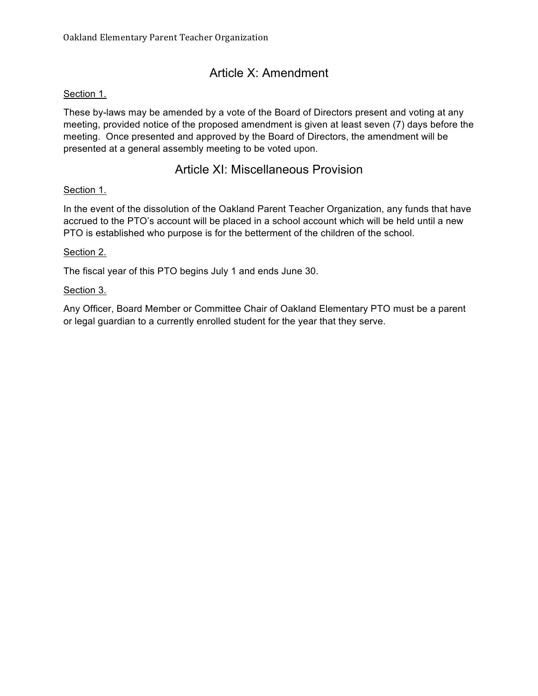# Article X: Amendment

#### Section 1.

These by-laws may be amended by a vote of the Board of Directors present and voting at any meeting, provided notice of the proposed amendment is given at least seven (7) days before the meeting. Once presented and approved by the Board of Directors, the amendment will be presented at a general assembly meeting to be voted upon.

### Article XI: Miscellaneous Provision

#### Section 1.

In the event of the dissolution of the Oakland Parent Teacher Organization, any funds that have accrued to the PTO's account will be placed in a school account which will be held until a new PTO is established who purpose is for the betterment of the children of the school.

#### Section 2.

The fiscal year of this PTO begins July 1 and ends June 30.

#### Section 3.

Any Officer, Board Member or Committee Chair of Oakland Elementary PTO must be a parent or legal guardian to a currently enrolled student for the year that they serve.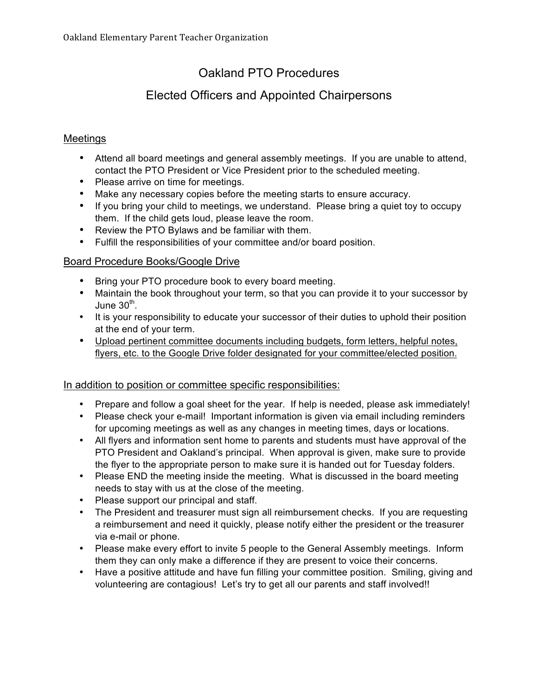# Oakland PTO Procedures

## Elected Officers and Appointed Chairpersons

### Meetings

- Attend all board meetings and general assembly meetings. If you are unable to attend, contact the PTO President or Vice President prior to the scheduled meeting.
- Please arrive on time for meetings.
- Make any necessary copies before the meeting starts to ensure accuracy.
- If you bring your child to meetings, we understand. Please bring a quiet toy to occupy them. If the child gets loud, please leave the room.
- Review the PTO Bylaws and be familiar with them.
- Fulfill the responsibilities of your committee and/or board position.

#### Board Procedure Books/Google Drive

- Bring your PTO procedure book to every board meeting.
- Maintain the book throughout your term, so that you can provide it to your successor by June  $30<sup>th</sup>$ .
- It is your responsibility to educate your successor of their duties to uphold their position at the end of your term.
- Upload pertinent committee documents including budgets, form letters, helpful notes, flyers, etc. to the Google Drive folder designated for your committee/elected position.

#### In addition to position or committee specific responsibilities:

- Prepare and follow a goal sheet for the year. If help is needed, please ask immediately!
- Please check your e-mail! Important information is given via email including reminders for upcoming meetings as well as any changes in meeting times, days or locations.
- All flyers and information sent home to parents and students must have approval of the PTO President and Oakland's principal. When approval is given, make sure to provide the flyer to the appropriate person to make sure it is handed out for Tuesday folders.
- Please END the meeting inside the meeting. What is discussed in the board meeting needs to stay with us at the close of the meeting.
- Please support our principal and staff.
- The President and treasurer must sign all reimbursement checks. If you are requesting a reimbursement and need it quickly, please notify either the president or the treasurer via e-mail or phone.
- Please make every effort to invite 5 people to the General Assembly meetings. Inform them they can only make a difference if they are present to voice their concerns.
- Have a positive attitude and have fun filling your committee position. Smiling, giving and volunteering are contagious! Let's try to get all our parents and staff involved!!